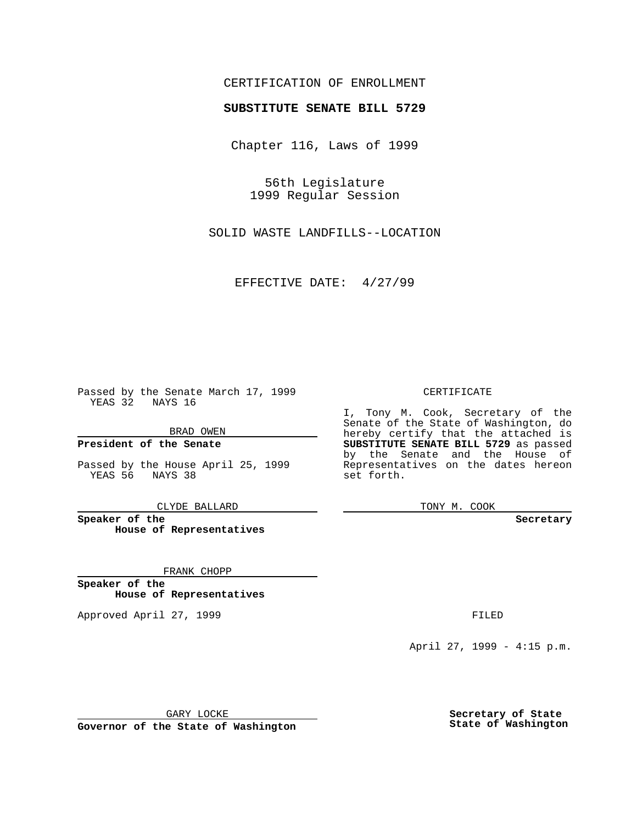## CERTIFICATION OF ENROLLMENT

# **SUBSTITUTE SENATE BILL 5729**

Chapter 116, Laws of 1999

56th Legislature 1999 Regular Session

SOLID WASTE LANDFILLS--LOCATION

EFFECTIVE DATE: 4/27/99

Passed by the Senate March 17, 1999 YEAS 32 NAYS 16

BRAD OWEN

**President of the Senate**

Passed by the House April 25, 1999 YEAS 56 NAYS 38

CLYDE BALLARD

**Speaker of the House of Representatives**

FRANK CHOPP

**Speaker of the House of Representatives**

Approved April 27, 1999 **FILED** 

### CERTIFICATE

I, Tony M. Cook, Secretary of the Senate of the State of Washington, do hereby certify that the attached is **SUBSTITUTE SENATE BILL 5729** as passed by the Senate and the House of Representatives on the dates hereon set forth.

TONY M. COOK

#### **Secretary**

April 27, 1999 - 4:15 p.m.

GARY LOCKE

**Governor of the State of Washington**

**Secretary of State State of Washington**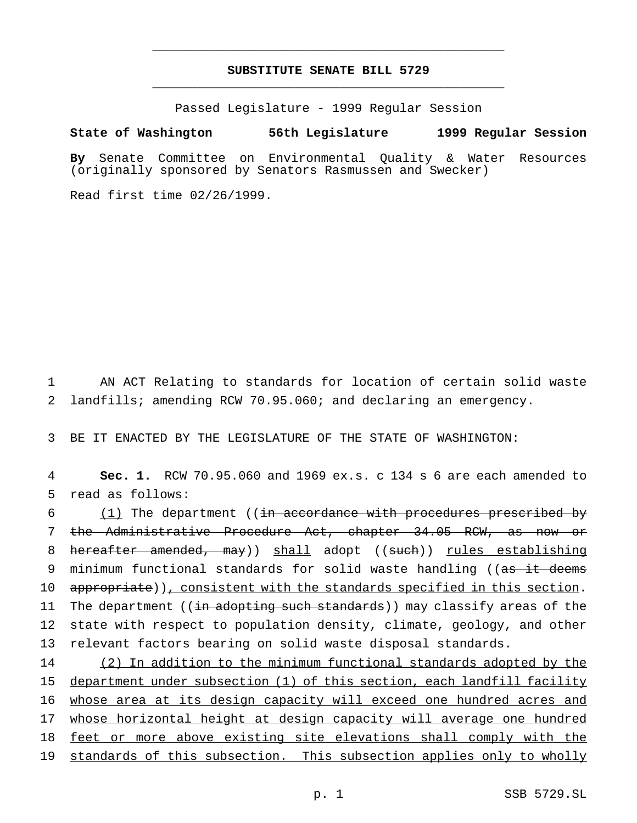## **SUBSTITUTE SENATE BILL 5729** \_\_\_\_\_\_\_\_\_\_\_\_\_\_\_\_\_\_\_\_\_\_\_\_\_\_\_\_\_\_\_\_\_\_\_\_\_\_\_\_\_\_\_\_\_\_\_

\_\_\_\_\_\_\_\_\_\_\_\_\_\_\_\_\_\_\_\_\_\_\_\_\_\_\_\_\_\_\_\_\_\_\_\_\_\_\_\_\_\_\_\_\_\_\_

Passed Legislature - 1999 Regular Session

#### **State of Washington 56th Legislature 1999 Regular Session**

**By** Senate Committee on Environmental Quality & Water Resources (originally sponsored by Senators Rasmussen and Swecker)

Read first time 02/26/1999.

1 AN ACT Relating to standards for location of certain solid waste 2 landfills; amending RCW 70.95.060; and declaring an emergency.

3 BE IT ENACTED BY THE LEGISLATURE OF THE STATE OF WASHINGTON:

4 **Sec. 1.** RCW 70.95.060 and 1969 ex.s. c 134 s 6 are each amended to 5 read as follows:

6 (1) The department ((in accordance with procedures prescribed by 7 the Administrative Procedure Act, chapter 34.05 RCW, as now or 8 hereafter amended, may)) shall adopt ((such)) rules establishing 9 minimum functional standards for solid waste handling ((as it deems 10 appropriate)), consistent with the standards specified in this section. 11 The department ((in adopting such standards)) may classify areas of the 12 state with respect to population density, climate, geology, and other 13 relevant factors bearing on solid waste disposal standards.

14 (2) In addition to the minimum functional standards adopted by the 15 department under subsection (1) of this section, each landfill facility 16 whose area at its design capacity will exceed one hundred acres and 17 whose horizontal height at design capacity will average one hundred 18 feet or more above existing site elevations shall comply with the 19 standards of this subsection. This subsection applies only to wholly